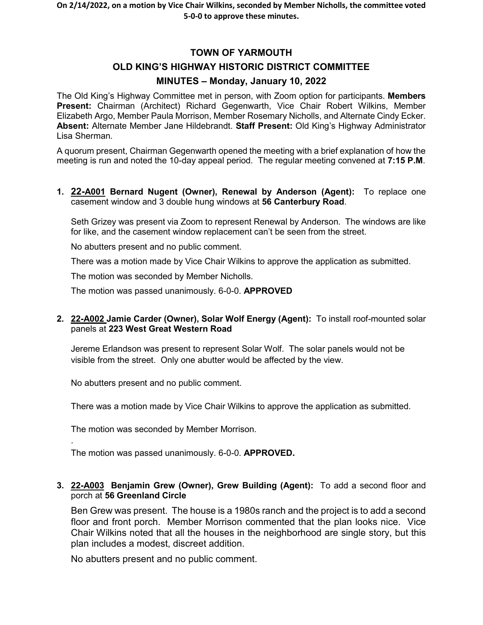# **TOWN OF YARMOUTH OLD KING'S HIGHWAY HISTORIC DISTRICT COMMITTEE MINUTES – Monday, January 10, 2022**

The Old King's Highway Committee met in person, with Zoom option for participants. **Members Present:** Chairman (Architect) Richard Gegenwarth, Vice Chair Robert Wilkins, Member Elizabeth Argo, Member Paula Morrison, Member Rosemary Nicholls, and Alternate Cindy Ecker. **Absent:** Alternate Member Jane Hildebrandt. **Staff Present:** Old King's Highway Administrator Lisa Sherman.

A quorum present, Chairman Gegenwarth opened the meeting with a brief explanation of how the meeting is run and noted the 10-day appeal period. The regular meeting convened at **7:15 P.M**.

**1. 22-A001 Bernard Nugent (Owner), Renewal by Anderson (Agent):** To replace one casement window and 3 double hung windows at **56 Canterbury Road**.

Seth Grizey was present via Zoom to represent Renewal by Anderson. The windows are like for like, and the casement window replacement can't be seen from the street.

No abutters present and no public comment.

There was a motion made by Vice Chair Wilkins to approve the application as submitted.

The motion was seconded by Member Nicholls.

The motion was passed unanimously. 6-0-0. **APPROVED**

**2. 22-A002 Jamie Carder (Owner), Solar Wolf Energy (Agent):** To install roof-mounted solar panels at **223 West Great Western Road**

Jereme Erlandson was present to represent Solar Wolf. The solar panels would not be visible from the street. Only one abutter would be affected by the view.

No abutters present and no public comment.

There was a motion made by Vice Chair Wilkins to approve the application as submitted.

The motion was seconded by Member Morrison.

.

The motion was passed unanimously. 6-0-0. **APPROVED.** 

#### **3. 22-A003 Benjamin Grew (Owner), Grew Building (Agent):** To add a second floor and porch at **56 Greenland Circle**

Ben Grew was present. The house is a 1980s ranch and the project is to add a second floor and front porch. Member Morrison commented that the plan looks nice. Vice Chair Wilkins noted that all the houses in the neighborhood are single story, but this plan includes a modest, discreet addition.

No abutters present and no public comment.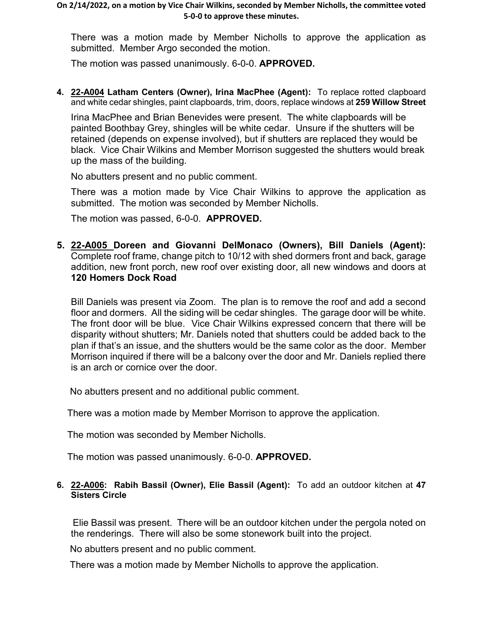There was a motion made by Member Nicholls to approve the application as submitted. Member Argo seconded the motion.

The motion was passed unanimously. 6-0-0. **APPROVED.**

**4. 22-A004 Latham Centers (Owner), Irina MacPhee (Agent):** To replace rotted clapboard and white cedar shingles, paint clapboards, trim, doors, replace windows at **259 Willow Street**

Irina MacPhee and Brian Benevides were present. The white clapboards will be painted Boothbay Grey, shingles will be white cedar. Unsure if the shutters will be retained (depends on expense involved), but if shutters are replaced they would be black. Vice Chair Wilkins and Member Morrison suggested the shutters would break up the mass of the building.

No abutters present and no public comment.

There was a motion made by Vice Chair Wilkins to approve the application as submitted. The motion was seconded by Member Nicholls.

The motion was passed, 6-0-0. **APPROVED.**

**5. 22-A005 Doreen and Giovanni DelMonaco (Owners), Bill Daniels (Agent):**  Complete roof frame, change pitch to 10/12 with shed dormers front and back, garage addition, new front porch, new roof over existing door, all new windows and doors at **120 Homers Dock Road**

Bill Daniels was present via Zoom. The plan is to remove the roof and add a second floor and dormers. All the siding will be cedar shingles. The garage door will be white. The front door will be blue. Vice Chair Wilkins expressed concern that there will be disparity without shutters; Mr. Daniels noted that shutters could be added back to the plan if that's an issue, and the shutters would be the same color as the door. Member Morrison inquired if there will be a balcony over the door and Mr. Daniels replied there is an arch or cornice over the door.

No abutters present and no additional public comment.

There was a motion made by Member Morrison to approve the application.

The motion was seconded by Member Nicholls.

The motion was passed unanimously. 6-0-0. **APPROVED.**

#### **6. 22-A006: Rabih Bassil (Owner), Elie Bassil (Agent):** To add an outdoor kitchen at **47 Sisters Circle**

Elie Bassil was present. There will be an outdoor kitchen under the pergola noted on the renderings. There will also be some stonework built into the project.

No abutters present and no public comment.

There was a motion made by Member Nicholls to approve the application.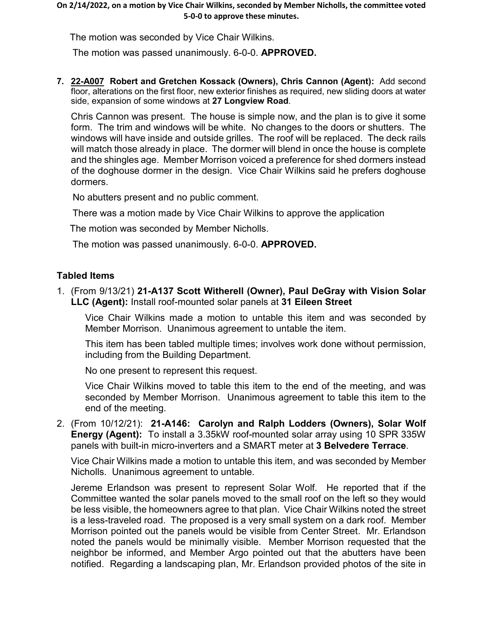The motion was seconded by Vice Chair Wilkins.

The motion was passed unanimously. 6-0-0. **APPROVED.**

**7. 22-A007 Robert and Gretchen Kossack (Owners), Chris Cannon (Agent):** Add second floor, alterations on the first floor, new exterior finishes as required, new sliding doors at water side, expansion of some windows at **27 Longview Road**.

Chris Cannon was present. The house is simple now, and the plan is to give it some form. The trim and windows will be white. No changes to the doors or shutters. The windows will have inside and outside grilles. The roof will be replaced. The deck rails will match those already in place. The dormer will blend in once the house is complete and the shingles age. Member Morrison voiced a preference for shed dormers instead of the doghouse dormer in the design. Vice Chair Wilkins said he prefers doghouse dormers.

No abutters present and no public comment.

There was a motion made by Vice Chair Wilkins to approve the application

The motion was seconded by Member Nicholls.

The motion was passed unanimously. 6-0-0. **APPROVED.**

# **Tabled Items**

1. (From 9/13/21) **21-A137 Scott Witherell (Owner), Paul DeGray with Vision Solar LLC (Agent):** Install roof-mounted solar panels at **31 Eileen Street**

Vice Chair Wilkins made a motion to untable this item and was seconded by Member Morrison. Unanimous agreement to untable the item.

This item has been tabled multiple times; involves work done without permission, including from the Building Department.

No one present to represent this request.

Vice Chair Wilkins moved to table this item to the end of the meeting, and was seconded by Member Morrison. Unanimous agreement to table this item to the end of the meeting.

2. (From 10/12/21): **21-A146: Carolyn and Ralph Lodders (Owners), Solar Wolf Energy (Agent):** To install a 3.35kW roof-mounted solar array using 10 SPR 335W panels with built-in micro-inverters and a SMART meter at **3 Belvedere Terrace**.

Vice Chair Wilkins made a motion to untable this item, and was seconded by Member Nicholls. Unanimous agreement to untable.

Jereme Erlandson was present to represent Solar Wolf. He reported that if the Committee wanted the solar panels moved to the small roof on the left so they would be less visible, the homeowners agree to that plan. Vice Chair Wilkins noted the street is a less-traveled road. The proposed is a very small system on a dark roof. Member Morrison pointed out the panels would be visible from Center Street. Mr. Erlandson noted the panels would be minimally visible. Member Morrison requested that the neighbor be informed, and Member Argo pointed out that the abutters have been notified. Regarding a landscaping plan, Mr. Erlandson provided photos of the site in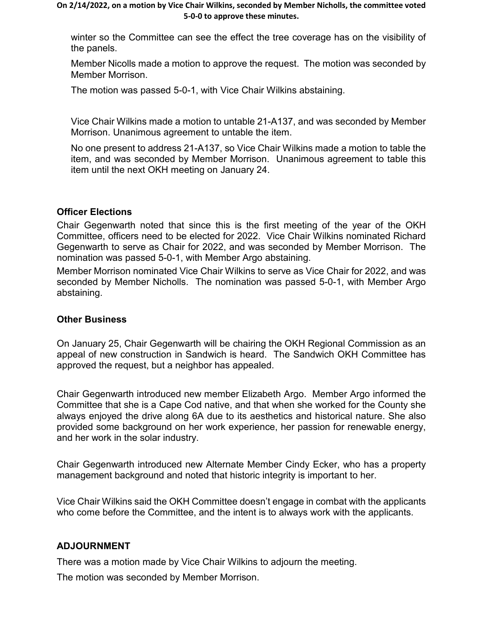#### **On 2/14/2022, on a motion by Vice Chair Wilkins, seconded by Member Nicholls, the committee voted 5-0-0 to approve these minutes.**

winter so the Committee can see the effect the tree coverage has on the visibility of the panels.

Member Nicolls made a motion to approve the request. The motion was seconded by Member Morrison.

The motion was passed 5-0-1, with Vice Chair Wilkins abstaining.

Vice Chair Wilkins made a motion to untable 21-A137, and was seconded by Member Morrison. Unanimous agreement to untable the item.

No one present to address 21-A137, so Vice Chair Wilkins made a motion to table the item, and was seconded by Member Morrison. Unanimous agreement to table this item until the next OKH meeting on January 24.

# **Officer Elections**

Chair Gegenwarth noted that since this is the first meeting of the year of the OKH Committee, officers need to be elected for 2022. Vice Chair Wilkins nominated Richard Gegenwarth to serve as Chair for 2022, and was seconded by Member Morrison. The nomination was passed 5-0-1, with Member Argo abstaining.

Member Morrison nominated Vice Chair Wilkins to serve as Vice Chair for 2022, and was seconded by Member Nicholls. The nomination was passed 5-0-1, with Member Argo abstaining.

# **Other Business**

On January 25, Chair Gegenwarth will be chairing the OKH Regional Commission as an appeal of new construction in Sandwich is heard. The Sandwich OKH Committee has approved the request, but a neighbor has appealed.

Chair Gegenwarth introduced new member Elizabeth Argo. Member Argo informed the Committee that she is a Cape Cod native, and that when she worked for the County she always enjoyed the drive along 6A due to its aesthetics and historical nature. She also provided some background on her work experience, her passion for renewable energy, and her work in the solar industry.

Chair Gegenwarth introduced new Alternate Member Cindy Ecker, who has a property management background and noted that historic integrity is important to her.

Vice Chair Wilkins said the OKH Committee doesn't engage in combat with the applicants who come before the Committee, and the intent is to always work with the applicants.

# **ADJOURNMENT**

There was a motion made by Vice Chair Wilkins to adjourn the meeting.

The motion was seconded by Member Morrison.